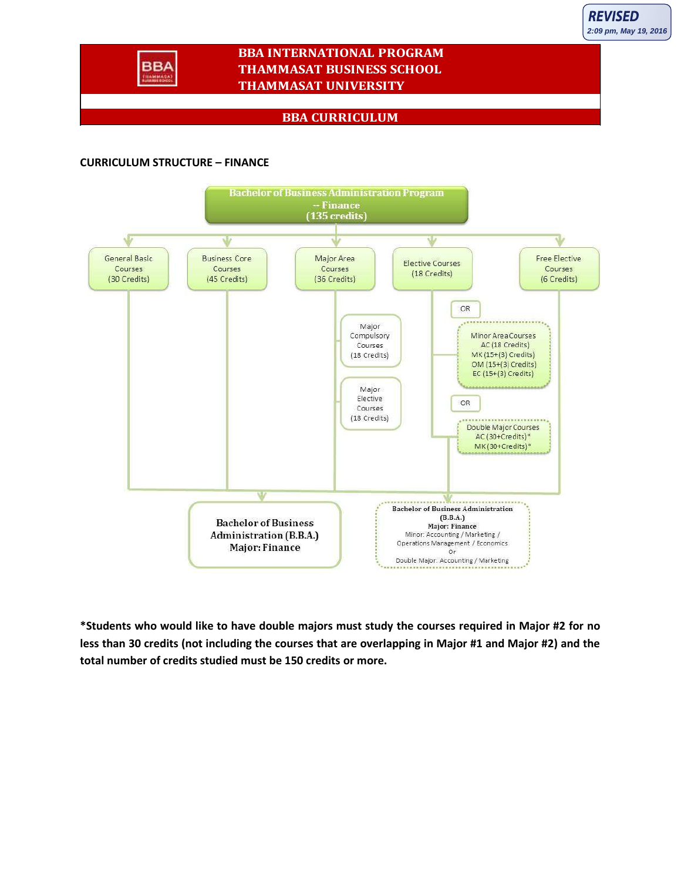

## **BBA INTERNATIONAL PROGRAM THAMMASAT BUSINESS SCHOOL THAMMASAT UNIVERSITY**

## **BBA CURRICULUM**

## **CURRICULUM STRUCTURE – FINANCE**



**\*Students who would like to have double majors must study the courses required in Major #2 for no less than 30 credits (not including the courses that are overlapping in Major #1 and Major #2) and the total number of credits studied must be 150 credits or more.**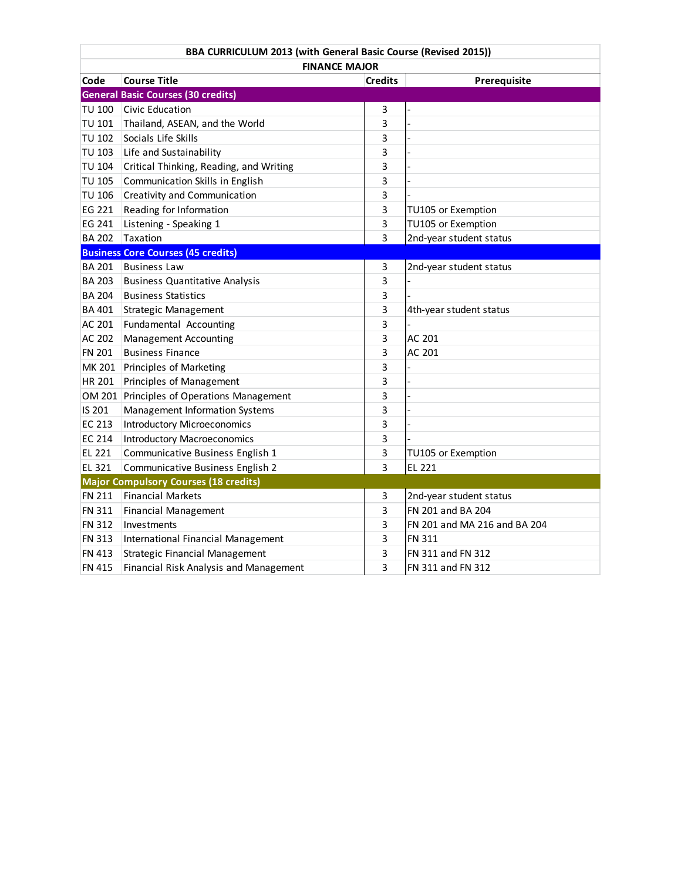| BBA CURRICULUM 2013 (with General Basic Course (Revised 2015)) |                                           |                |                              |  |  |  |  |
|----------------------------------------------------------------|-------------------------------------------|----------------|------------------------------|--|--|--|--|
| <b>FINANCE MAJOR</b>                                           |                                           |                |                              |  |  |  |  |
| Code                                                           | <b>Course Title</b>                       | <b>Credits</b> | Prerequisite                 |  |  |  |  |
|                                                                | <b>General Basic Courses (30 credits)</b> |                |                              |  |  |  |  |
| <b>TU 100</b>                                                  | Civic Education                           | 3              |                              |  |  |  |  |
| TU 101                                                         | Thailand, ASEAN, and the World            | 3              |                              |  |  |  |  |
| <b>TU 102</b>                                                  | Socials Life Skills                       | 3              |                              |  |  |  |  |
| <b>TU 103</b>                                                  | Life and Sustainability                   | 3              |                              |  |  |  |  |
| <b>TU 104</b>                                                  | Critical Thinking, Reading, and Writing   | 3              |                              |  |  |  |  |
| <b>TU 105</b>                                                  | Communication Skills in English           | 3              |                              |  |  |  |  |
| <b>TU 106</b>                                                  | Creativity and Communication              | 3              |                              |  |  |  |  |
| EG 221                                                         | Reading for Information                   | 3              | TU105 or Exemption           |  |  |  |  |
| EG 241                                                         | Listening - Speaking 1                    | 3              | TU105 or Exemption           |  |  |  |  |
| <b>BA 202</b>                                                  | Taxation                                  | 3              | 2nd-year student status      |  |  |  |  |
|                                                                | <b>Business Core Courses (45 credits)</b> |                |                              |  |  |  |  |
| <b>BA 201</b>                                                  | <b>Business Law</b>                       | 3              | 2nd-year student status      |  |  |  |  |
| <b>BA 203</b>                                                  | <b>Business Quantitative Analysis</b>     | 3              |                              |  |  |  |  |
| <b>BA 204</b>                                                  | <b>Business Statistics</b>                | 3              |                              |  |  |  |  |
| <b>BA 401</b>                                                  | <b>Strategic Management</b>               | 3              | 4th-year student status      |  |  |  |  |
| AC 201                                                         | Fundamental Accounting                    | 3              |                              |  |  |  |  |
| AC 202                                                         | <b>Management Accounting</b>              | 3              | AC 201                       |  |  |  |  |
| FN 201                                                         | <b>Business Finance</b>                   | 3              | AC 201                       |  |  |  |  |
| MK 201                                                         | Principles of Marketing                   | 3              |                              |  |  |  |  |
| HR 201                                                         | Principles of Management                  | 3              |                              |  |  |  |  |
| OM 201                                                         | Principles of Operations Management       | 3              |                              |  |  |  |  |
| IS 201                                                         | Management Information Systems            | 3              |                              |  |  |  |  |
| EC 213                                                         | <b>Introductory Microeconomics</b>        | 3              |                              |  |  |  |  |
| EC 214                                                         | <b>Introductory Macroeconomics</b>        | 3              |                              |  |  |  |  |
| EL 221                                                         | Communicative Business English 1          | 3              | TU105 or Exemption           |  |  |  |  |
| EL 321                                                         | Communicative Business English 2          | 3              | <b>EL 221</b>                |  |  |  |  |
| <b>Major Compulsory Courses (18 credits)</b>                   |                                           |                |                              |  |  |  |  |
| FN 211                                                         | <b>Financial Markets</b>                  | 3              | 2nd-year student status      |  |  |  |  |
| <b>FN 311</b>                                                  | <b>Financial Management</b>               | 3              | FN 201 and BA 204            |  |  |  |  |
| FN 312                                                         | Investments                               | 3              | FN 201 and MA 216 and BA 204 |  |  |  |  |
| FN 313                                                         | International Financial Management        | 3              | FN 311                       |  |  |  |  |
| FN 413                                                         | Strategic Financial Management            | 3              | FN 311 and FN 312            |  |  |  |  |
| <b>FN 415</b>                                                  | Financial Risk Analysis and Management    | 3              | FN 311 and FN 312            |  |  |  |  |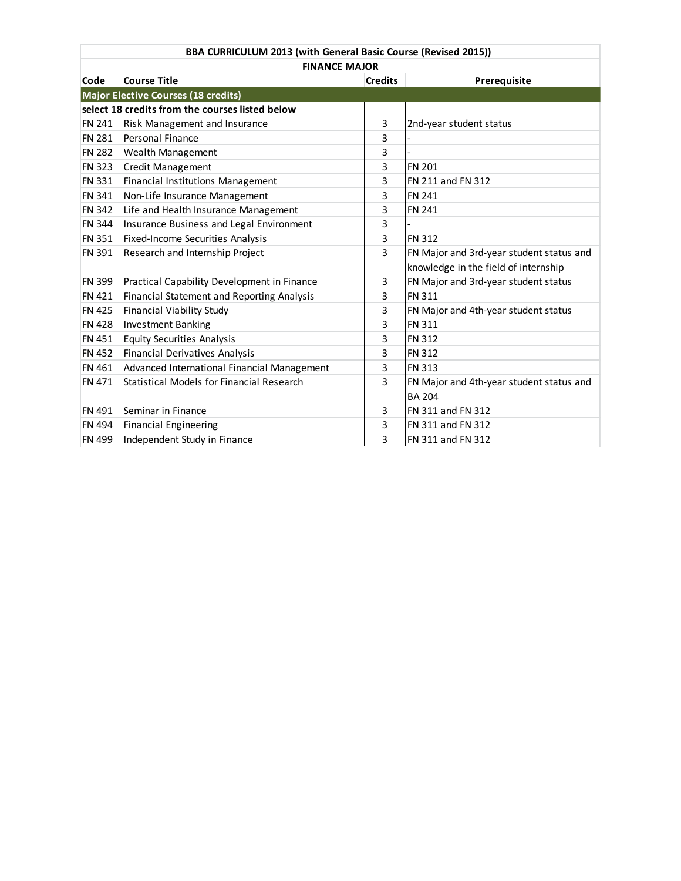| BBA CURRICULUM 2013 (with General Basic Course (Revised 2015)) |                                                 |                |                                          |  |  |  |
|----------------------------------------------------------------|-------------------------------------------------|----------------|------------------------------------------|--|--|--|
| <b>FINANCE MAJOR</b>                                           |                                                 |                |                                          |  |  |  |
| Code                                                           | <b>Course Title</b>                             | <b>Credits</b> | Prerequisite                             |  |  |  |
|                                                                | <b>Major Elective Courses (18 credits)</b>      |                |                                          |  |  |  |
|                                                                | select 18 credits from the courses listed below |                |                                          |  |  |  |
| <b>FN 241</b>                                                  | Risk Management and Insurance                   | 3              | 2nd-year student status                  |  |  |  |
| <b>FN 281</b>                                                  | Personal Finance                                | 3              |                                          |  |  |  |
| <b>FN 282</b>                                                  | Wealth Management                               | 3              |                                          |  |  |  |
| <b>FN 323</b>                                                  | <b>Credit Management</b>                        | 3              | <b>FN 201</b>                            |  |  |  |
| <b>FN 331</b>                                                  | Financial Institutions Management               | 3              | FN 211 and FN 312                        |  |  |  |
| <b>FN 341</b>                                                  | Non-Life Insurance Management                   | 3              | <b>FN 241</b>                            |  |  |  |
| <b>FN 342</b>                                                  | Life and Health Insurance Management            | 3              | <b>FN 241</b>                            |  |  |  |
| <b>FN 344</b>                                                  | Insurance Business and Legal Environment        | 3              |                                          |  |  |  |
| FN 351                                                         | Fixed-Income Securities Analysis                | 3              | <b>FN 312</b>                            |  |  |  |
| <b>FN 391</b>                                                  | Research and Internship Project                 | 3              | FN Major and 3rd-year student status and |  |  |  |
|                                                                |                                                 |                | knowledge in the field of internship     |  |  |  |
| FN 399                                                         | Practical Capability Development in Finance     | 3              | FN Major and 3rd-year student status     |  |  |  |
| <b>FN 421</b>                                                  | Financial Statement and Reporting Analysis      | 3              | <b>FN 311</b>                            |  |  |  |
| <b>FN 425</b>                                                  | Financial Viability Study                       | 3              | FN Major and 4th-year student status     |  |  |  |
| <b>FN 428</b>                                                  | <b>Investment Banking</b>                       | 3              | <b>FN 311</b>                            |  |  |  |
| FN 451                                                         | <b>Equity Securities Analysis</b>               | 3              | <b>FN 312</b>                            |  |  |  |
| <b>FN 452</b>                                                  | <b>Financial Derivatives Analysis</b>           | 3              | <b>FN 312</b>                            |  |  |  |
| FN 461                                                         | Advanced International Financial Management     | 3              | <b>FN 313</b>                            |  |  |  |
| <b>FN 471</b>                                                  | Statistical Models for Financial Research       | 3              | FN Major and 4th-year student status and |  |  |  |
|                                                                |                                                 |                | <b>BA 204</b>                            |  |  |  |
| <b>FN 491</b>                                                  | Seminar in Finance                              | 3              | FN 311 and FN 312                        |  |  |  |
| <b>FN 494</b>                                                  | <b>Financial Engineering</b>                    | 3              | FN 311 and FN 312                        |  |  |  |
| <b>FN 499</b>                                                  | Independent Study in Finance                    | 3              | FN 311 and FN 312                        |  |  |  |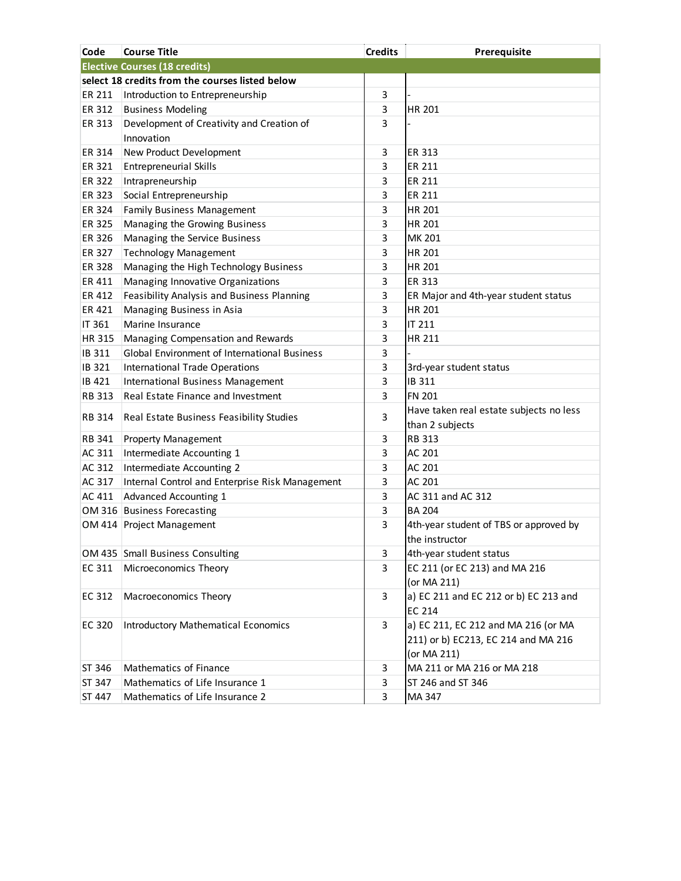| Code          | <b>Course Title</b>                             | <b>Credits</b> | Prerequisite                                                                              |
|---------------|-------------------------------------------------|----------------|-------------------------------------------------------------------------------------------|
|               | <b>Elective Courses (18 credits)</b>            |                |                                                                                           |
|               | select 18 credits from the courses listed below |                |                                                                                           |
| ER 211        | Introduction to Entrepreneurship                | 3              |                                                                                           |
| ER 312        | <b>Business Modeling</b>                        | 3              | HR 201                                                                                    |
| ER 313        | Development of Creativity and Creation of       | 3              |                                                                                           |
|               | Innovation                                      |                |                                                                                           |
| ER 314        | New Product Development                         | 3              | <b>ER 313</b>                                                                             |
| ER 321        | <b>Entrepreneurial Skills</b>                   | 3              | ER 211                                                                                    |
| ER 322        | Intrapreneurship                                | 3              | ER 211                                                                                    |
| ER 323        | Social Entrepreneurship                         | 3              | ER 211                                                                                    |
| ER 324        | <b>Family Business Management</b>               | 3              | HR 201                                                                                    |
| ER 325        | Managing the Growing Business                   | 3              | HR 201                                                                                    |
| ER 326        | Managing the Service Business                   | 3              | MK 201                                                                                    |
| ER 327        | <b>Technology Management</b>                    | 3              | HR 201                                                                                    |
| <b>ER 328</b> | Managing the High Technology Business           | 3              | <b>HR 201</b>                                                                             |
| ER 411        | Managing Innovative Organizations               | 3              | ER 313                                                                                    |
| ER 412        | Feasibility Analysis and Business Planning      | 3              | ER Major and 4th-year student status                                                      |
| ER 421        | Managing Business in Asia                       | 3              | HR 201                                                                                    |
| IT 361        | Marine Insurance                                | 3              | IT 211                                                                                    |
| <b>HR 315</b> | Managing Compensation and Rewards               | 3              | HR 211                                                                                    |
| IB 311        | Global Environment of International Business    | 3              |                                                                                           |
| IB 321        | International Trade Operations                  | 3              | 3rd-year student status                                                                   |
| IB 421        | International Business Management               | 3              | IB 311                                                                                    |
| <b>RB 313</b> | Real Estate Finance and Investment              | 3              | <b>FN 201</b>                                                                             |
| <b>RB 314</b> | Real Estate Business Feasibility Studies        | 3              | Have taken real estate subjects no less<br>than 2 subjects                                |
| RB 341        | <b>Property Management</b>                      | 3              | <b>RB 313</b>                                                                             |
| AC 311        | Intermediate Accounting 1                       | 3              | AC 201                                                                                    |
| AC 312        | Intermediate Accounting 2                       | 3              | AC 201                                                                                    |
| AC 317        | Internal Control and Enterprise Risk Management | 3              | AC 201                                                                                    |
| AC 411        | <b>Advanced Accounting 1</b>                    | 3              | AC 311 and AC 312                                                                         |
|               | OM 316 Business Forecasting                     | 3              | <b>BA 204</b>                                                                             |
|               | OM 414 Project Management                       | 3              | 4th-year student of TBS or approved by<br>the instructor                                  |
|               | OM 435 Small Business Consulting                | 3              | 4th-year student status                                                                   |
| EC 311        | Microeconomics Theory                           | 3              | EC 211 (or EC 213) and MA 216<br>(or MA 211)                                              |
| EC 312        | Macroeconomics Theory                           | 3              | a) EC 211 and EC 212 or b) EC 213 and<br>EC 214                                           |
| EC 320        | <b>Introductory Mathematical Economics</b>      | 3              | a) EC 211, EC 212 and MA 216 (or MA<br>211) or b) EC213, EC 214 and MA 216<br>(or MA 211) |
| ST 346        | Mathematics of Finance                          | 3              | MA 211 or MA 216 or MA 218                                                                |
| ST 347        | Mathematics of Life Insurance 1                 | 3              | ST 246 and ST 346                                                                         |
| ST 447        | Mathematics of Life Insurance 2                 | 3              | MA 347                                                                                    |